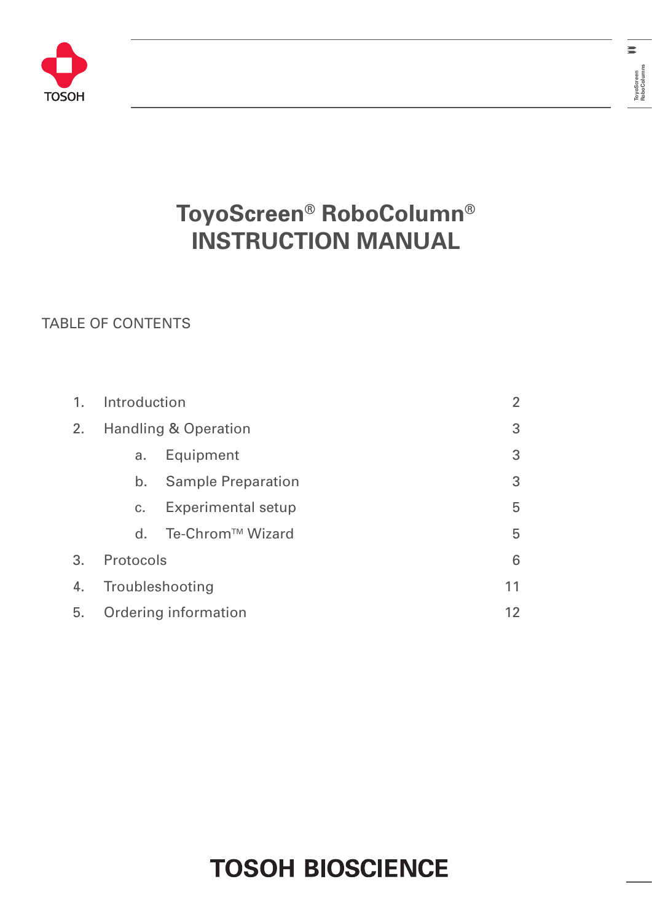



### TABLE OF CONTENTS

| 1. | Introduction   |                                 | $\overline{2}$ |
|----|----------------|---------------------------------|----------------|
| 2. |                | <b>Handling &amp; Operation</b> | 3              |
|    | a.             | Equipment                       | 3              |
|    | b.             | <b>Sample Preparation</b>       | 3              |
|    | C <sub>1</sub> | <b>Experimental setup</b>       | 5              |
|    | $d_{\cdot}$    | Te-Chrom <sup>™</sup> Wizard    | 5              |
| 3. | Protocols      |                                 | 6              |
| 4. |                | Troubleshooting                 | 11             |
| 5. |                | Ordering information            | 12             |

# **TOSOH BIOSCIENCE**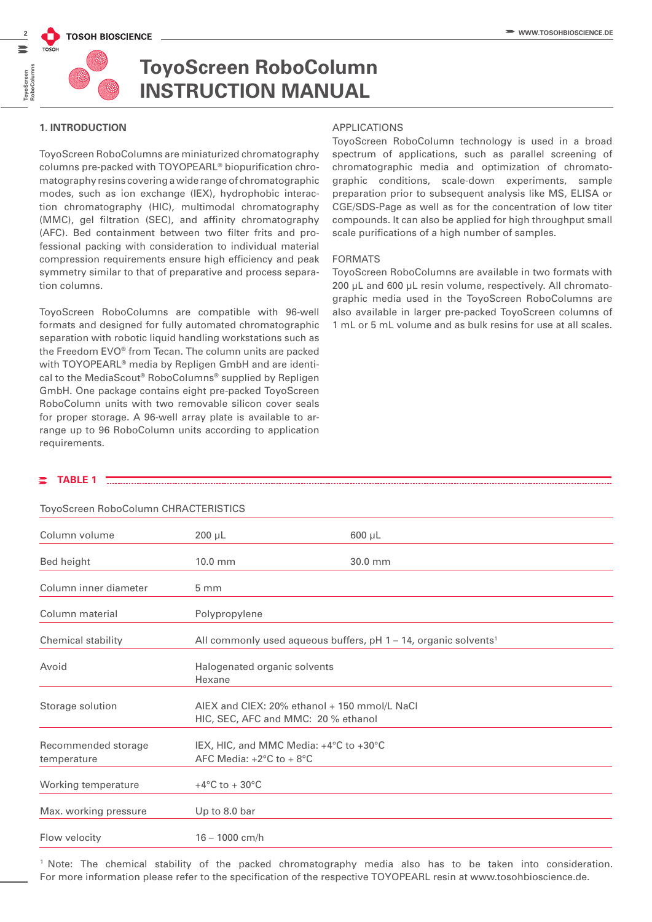

#### **1. INTRODUCTION**

ToyoScreen RoboColumns are miniaturized chromatography columns pre-packed with TOYOPEARL**®** biopurification chromatography resins covering a wide range of chromatographic modes, such as ion exchange (IEX), hydrophobic interaction chromatography (HIC), multimodal chromatography (MMC), gel filtration (SEC), and affinity chromatography (AFC). Bed containment between two filter frits and professional packing with consideration to individual material compression requirements ensure high efficiency and peak symmetry similar to that of preparative and process separation columns.

ToyoScreen RoboColumns are compatible with 96-well formats and designed for fully automated chromatographic separation with robotic liquid handling workstations such as the Freedom EVO® from Tecan. The column units are packed with TOYOPEARL® media by Repligen GmbH and are identical to the MediaScout® RoboColumns® supplied by Repligen GmbH. One package contains eight pre-packed ToyoScreen RoboColumn units with two removable silicon cover seals for proper storage. A 96-well array plate is available to arrange up to 96 RoboColumn units according to application requirements.

#### APPLICATIONS

ToyoScreen RoboColumn technology is used in a broad spectrum of applications, such as parallel screening of chromatographic media and optimization of chromatographic conditions, scale-down experiments, sample preparation prior to subsequent analysis like MS, ELISA or CGE/SDS-Page as well as for the concentration of low titer compounds. It can also be applied for high throughput small scale purifications of a high number of samples.

#### FORMATS

ToyoScreen RoboColumns are available in two formats with 200 µL and 600 µL resin volume, respectively. All chromatographic media used in the ToyoScreen RoboColumns are also available in larger pre-packed ToyoScreen columns of 1 mL or 5 mL volume and as bulk resins for use at all scales.

#### **TABLE 1**

ToyoScreen RoboColumn CHRACTERISTICS

| Column volume                      | $200 \mu L$                                                                           | $600 \mu L$                                                                   |
|------------------------------------|---------------------------------------------------------------------------------------|-------------------------------------------------------------------------------|
| Bed height                         | $10.0$ mm                                                                             | 30.0 mm                                                                       |
| Column inner diameter              | 5 <sub>mm</sub>                                                                       |                                                                               |
| Column material                    | Polypropylene                                                                         |                                                                               |
| Chemical stability                 |                                                                                       | All commonly used aqueous buffers, $pH$ 1 – 14, organic solvents <sup>1</sup> |
| Avoid                              | Halogenated organic solvents<br>Hexane                                                |                                                                               |
| Storage solution                   | AIEX and CIEX: 20% ethanol + 150 mmol/L NaCl<br>HIC, SEC, AFC and MMC: 20 % ethanol   |                                                                               |
| Recommended storage<br>temperature | IEX, HIC, and MMC Media: +4°C to +30°C<br>AFC Media: $+2^{\circ}$ C to $+8^{\circ}$ C |                                                                               |
| Working temperature                | +4 $\rm ^{\circ}C$ to + 30 $\rm ^{\circ}C$                                            |                                                                               |
| Max. working pressure              | Up to 8.0 bar                                                                         |                                                                               |
| Flow velocity                      | $16 - 1000$ cm/h                                                                      |                                                                               |

1 Note: The chemical stability of the packed chromatography media also has to be taken into consideration. For more information please refer to the specification of the respective TOYOPEARL resin at www.tosohbioscience.de.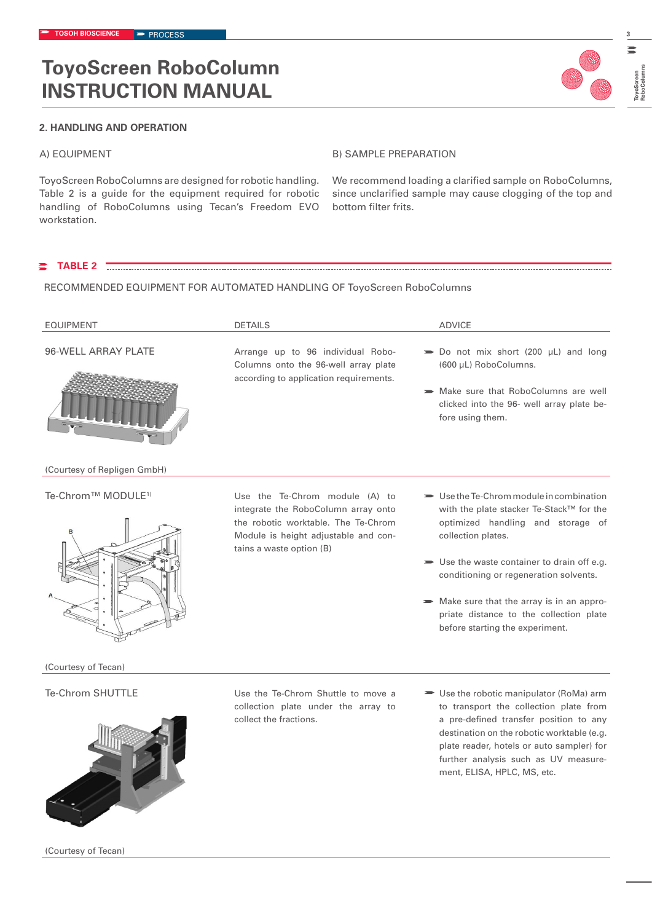

#### A) EQUIPMENT

ToyoScreen RoboColumns are designed for robotic handling. Table 2 is a guide for the equipment required for robotic handling of RoboColumns using Tecan's Freedom EVO workstation.

#### B) SAMPLE PREPARATION

We recommend loading a clarified sample on RoboColumns, since unclarified sample may cause clogging of the top and bottom filter frits.

ment, ELISA, HPLC, MS, etc.

**TABLE 2** 

#### RECOMMENDED EQUIPMENT FOR AUTOMATED HANDLING OF ToyoScreen RoboColumns

| <b>EQUIPMENT</b>               | <b>DETAILS</b>                                                                                                                                                                   | <b>ADVICE</b>                                                                                                                                                                                                                                                                                                                                                                                      |
|--------------------------------|----------------------------------------------------------------------------------------------------------------------------------------------------------------------------------|----------------------------------------------------------------------------------------------------------------------------------------------------------------------------------------------------------------------------------------------------------------------------------------------------------------------------------------------------------------------------------------------------|
| 96-WELL ARRAY PLATE            | Arrange up to 96 individual Robo-<br>Columns onto the 96-well array plate<br>according to application requirements.                                                              | $\Rightarrow$ Do not mix short (200 µL) and long<br>(600 µL) RoboColumns.<br>Make sure that RoboColumns are well<br>clicked into the 96- well array plate be-<br>fore using them.                                                                                                                                                                                                                  |
| (Courtesy of Repligen GmbH)    |                                                                                                                                                                                  |                                                                                                                                                                                                                                                                                                                                                                                                    |
| Te-Chrom™ MODULE <sup>1)</sup> | Use the Te-Chrom module (A) to<br>integrate the RoboColumn array onto<br>the robotic worktable. The Te-Chrom<br>Module is height adjustable and con-<br>tains a waste option (B) | $\rightarrow$ Use the Te-Chrom module in combination<br>with the plate stacker Te-Stack™ for the<br>optimized handling and storage of<br>collection plates.<br>$\blacktriangleright$ Use the waste container to drain off e.g.<br>conditioning or regeneration solvents.<br>Make sure that the array is in an appro-<br>priate distance to the collection plate<br>before starting the experiment. |
| (Courtesy of Tecan)            |                                                                                                                                                                                  |                                                                                                                                                                                                                                                                                                                                                                                                    |
| <b>Te-Chrom SHUTTLE</b>        | Use the Te-Chrom Shuttle to move a<br>collection plate under the array to<br>collect the fractions.                                                                              | ► Use the robotic manipulator (RoMa) arm<br>to transport the collection plate from<br>a pre-defined transfer position to any<br>destination on the robotic worktable (e.g.<br>plate reader, hotels or auto sampler) for<br>further analysis such as UV measure-                                                                                                                                    |

(Courtesy of Tecan)



**3**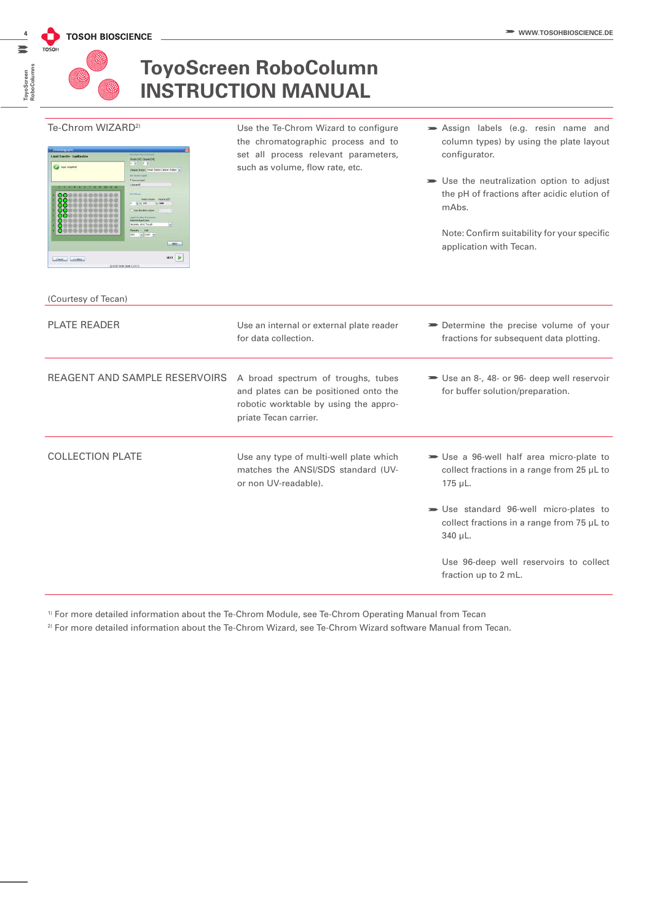# **RoboColumns** ToyoScreen<br>RoboColumi

**ToyoScreen** 

### **ToyoScreen RoboColumn INSTRUCTION MANUAL**

#### Te-Chrom WIZARD<sup>2)</sup>

| Weds [ed] Clearer [ed]<br>1.0 2.0<br>Director Margary   Mitch Station Cleaner shallow   te-<br><b>SITTELAINTAKI</b>                                                                                                                      |
|------------------------------------------------------------------------------------------------------------------------------------------------------------------------------------------------------------------------------------------|
|                                                                                                                                                                                                                                          |
| + Norre Grant                                                                                                                                                                                                                            |
| <b>California</b>                                                                                                                                                                                                                        |
| <b>Set Hilton</b><br>Relatividate Values [al]<br>01/4 028<br>$-1986$<br>u<br>On shorter value<br>٠<br>1.00 ad than ditrict P-Manuel and<br>Aspirable liquid class:<br>Apirate Atoll Trough<br>w<br>Ployate<br><b>Det</b><br>450 w orth w |
| <b>Agoty</b>                                                                                                                                                                                                                             |
|                                                                                                                                                                                                                                          |
|                                                                                                                                                                                                                                          |

Use the Te-Chrom Wizard to configure the chromatographic process and to set all process relevant parameters, such as volume, flow rate, etc.

- Assign labels (e.g. resin name and column types) by using the plate layout configurator.
- Use the neutralization option to adjust the pH of fractions after acidic elution of mAbs.

Note: Confirm suitability for your specific application with Tecan.

| (Courtesy of Tecan)           |                                                                                                                                               |                                                                                                                |
|-------------------------------|-----------------------------------------------------------------------------------------------------------------------------------------------|----------------------------------------------------------------------------------------------------------------|
| <b>PLATE READER</b>           | Use an internal or external plate reader<br>for data collection.                                                                              | Determine the precise volume of your<br>fractions for subsequent data plotting.                                |
| REAGENT AND SAMPLE RESERVOIRS | A broad spectrum of troughs, tubes<br>and plates can be positioned onto the<br>robotic worktable by using the appro-<br>priate Tecan carrier. | Solution Use an 8-, 48- or 96- deep well reservoir<br>for buffer solution/preparation.                         |
| <b>COLLECTION PLATE</b>       | Use any type of multi-well plate which<br>matches the ANSI/SDS standard (UV-<br>or non UV-readable).                                          | Solution Use a 96-well half area micro-plate to<br>collect fractions in a range from 25 µL to<br>$175 \mu L$ . |
|                               |                                                                                                                                               | Solution Use standard 96-well micro-plates to<br>collect fractions in a range from 75 µL to<br>340 µL.         |
|                               |                                                                                                                                               | Use 96-deep well reservoirs to collect<br>fraction up to 2 mL.                                                 |

1) For more detailed information about the Te-Chrom Module, see Te-Chrom Operating Manual from Tecan

2) For more detailed information about the Te-Chrom Wizard, see Te-Chrom Wizard software Manual from Tecan.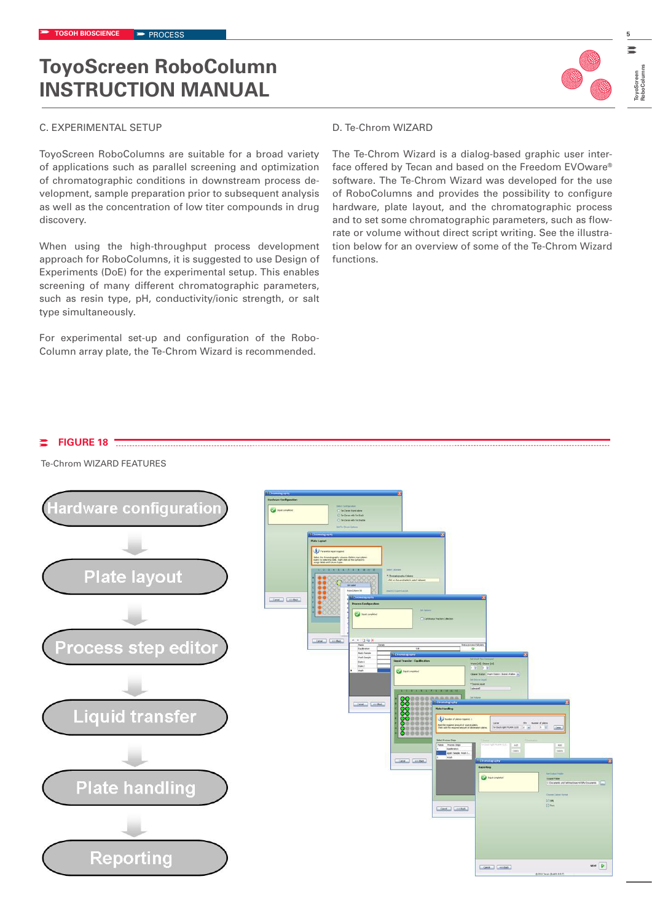#### C. EXPERIMENTAL SETUP

ToyoScreen RoboColumns are suitable for a broad variety of applications such as parallel screening and optimization of chromatographic conditions in downstream process development, sample preparation prior to subsequent analysis as well as the concentration of low titer compounds in drug discovery.

When using the high-throughput process development approach for RoboColumns, it is suggested to use Design of Experiments (DoE) for the experimental setup. This enables screening of many different chromatographic parameters, such as resin type, pH, conductivity/ionic strength, or salt type simultaneously.

For experimental set-up and configuration of the Robo-Column array plate, the Te-Chrom Wizard is recommended.

#### D. Te-Chrom WIZARD

The Te-Chrom Wizard is a dialog-based graphic user interface offered by Tecan and based on the Freedom EVOware® software. The Te-Chrom Wizard was developed for the use of RoboColumns and provides the possibility to configure hardware, plate layout, and the chromatographic process and to set some chromatographic parameters, such as flowrate or volume without direct script writing. See the illustration below for an overview of some of the Te-Chrom Wizard functions.

### **FIGURE 18**

Te-Chrom WIZARD FEATURES



**ToyoScreen RoboColumns**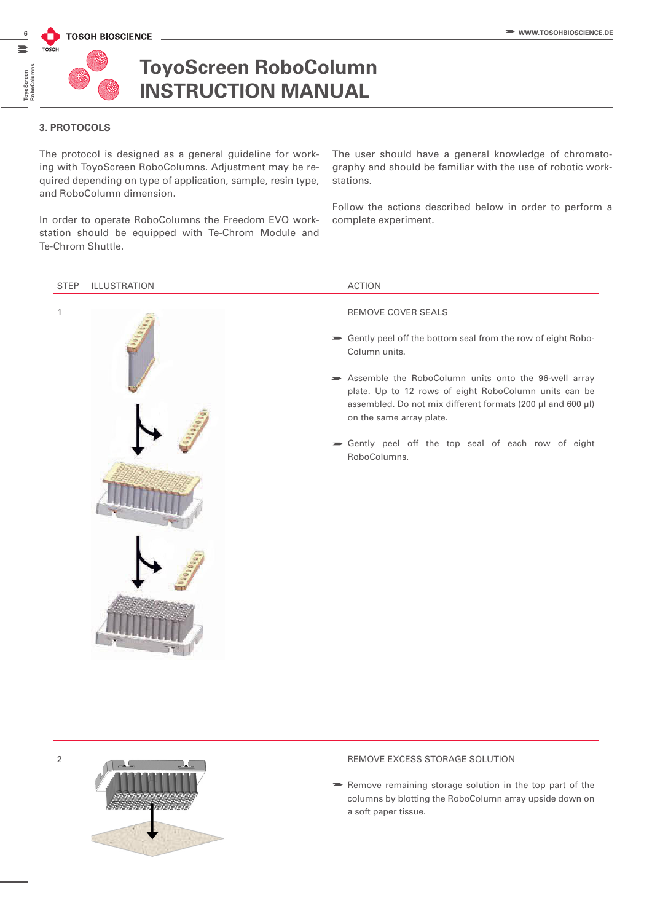

### **3. PROTOCOLS**

The protocol is designed as a general guideline for working with ToyoScreen RoboColumns. Adjustment may be required depending on type of application, sample, resin type, and RoboColumn dimension.

In order to operate RoboColumns the Freedom EVO workstation should be equipped with Te-Chrom Module and Te-Chrom Shuttle.

The user should have a general knowledge of chromatography and should be familiar with the use of robotic workstations.

Follow the actions described below in order to perform a complete experiment.

#### STEP ILLUSTRATION ACTION



- Gently peel off the bottom seal from the row of eight Robo-Column units.
- Assemble the RoboColumn units onto the 96-well array plate. Up to 12 rows of eight RoboColumn units can be assembled. Do not mix different formats (200 µl and 600 µl) on the same array plate.
- Gently peel off the top seal of each row of eight RoboColumns.



#### 2 **REMOVE EXCESS STORAGE SOLUTION**

 $\blacktriangleright$  Remove remaining storage solution in the top part of the columns by blotting the RoboColumn array upside down on a soft paper tissue.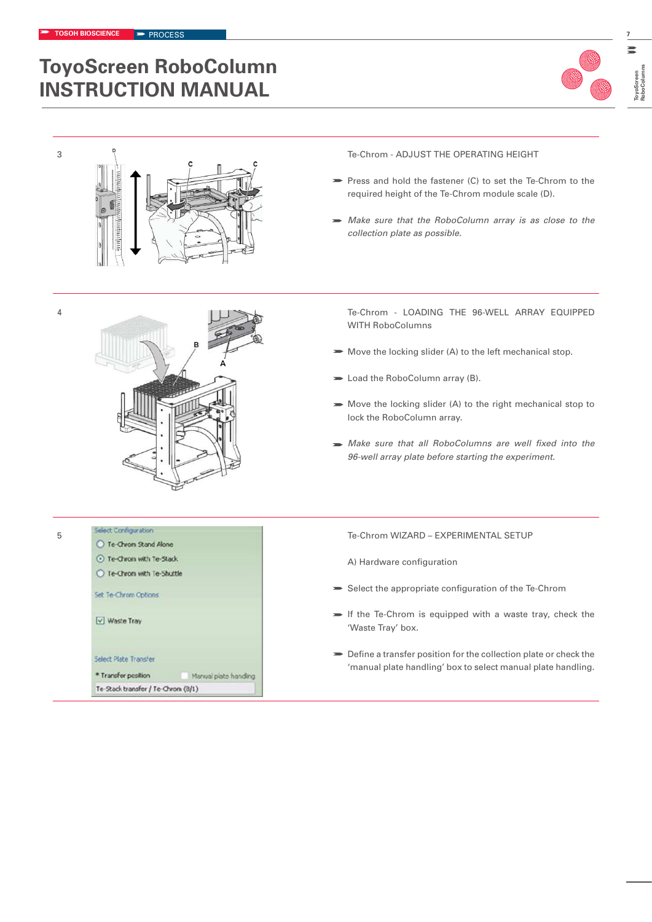

**RoboColumns**



- Press and hold the fastener (C) to set the Te-Chrom to the required height of the Te-Chrom module scale (D).
- *Make sure that the RoboColumn array is as close to the collection plate as possible.*



Te-Chron with Te-Stack ○ Te-Chrom with Te-Shuttle

Set Te-Chrom Options

Select Plate Transfer \* Transfer position

Te-Stack transfer / Te-Chrom (8/1)

Manual plate handling

V Waste Tray

4 Te-Chrom - LOADING THE 96-WELL ARRAY EQUIPPED WITH RoboColumns

- $\blacktriangleright$  Move the locking slider (A) to the left mechanical stop.
- **Load the RoboColumn array (B).**
- Move the locking slider (A) to the right mechanical stop to lock the RoboColumn array.
- *Make sure that all RoboColumns are well fixed into the 96-well array plate before starting the experiment.*

5 Select Configuration<br>
5 Te-Chrom WIZARD – EXPERIMENTAL SETUP<br>
0 Te-Chrom Stand Alone

A) Hardware configuration

- Select the appropriate configuration of the Te-Chrom
- $\blacktriangleright$  If the Te-Chrom is equipped with a waste tray, check the 'Waste Tray' box.
- Define a transfer position for the collection plate or check the 'manual plate handling' box to select manual plate handling.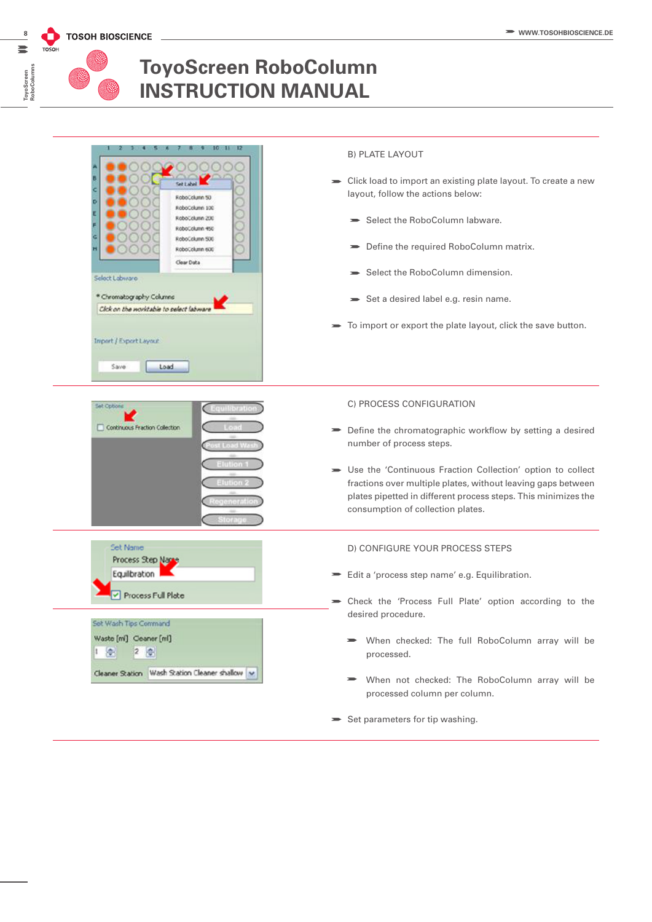

**ToyoScreen** 

### **ToyoScreen RoboColumn INSTRUCTION MANUAL**

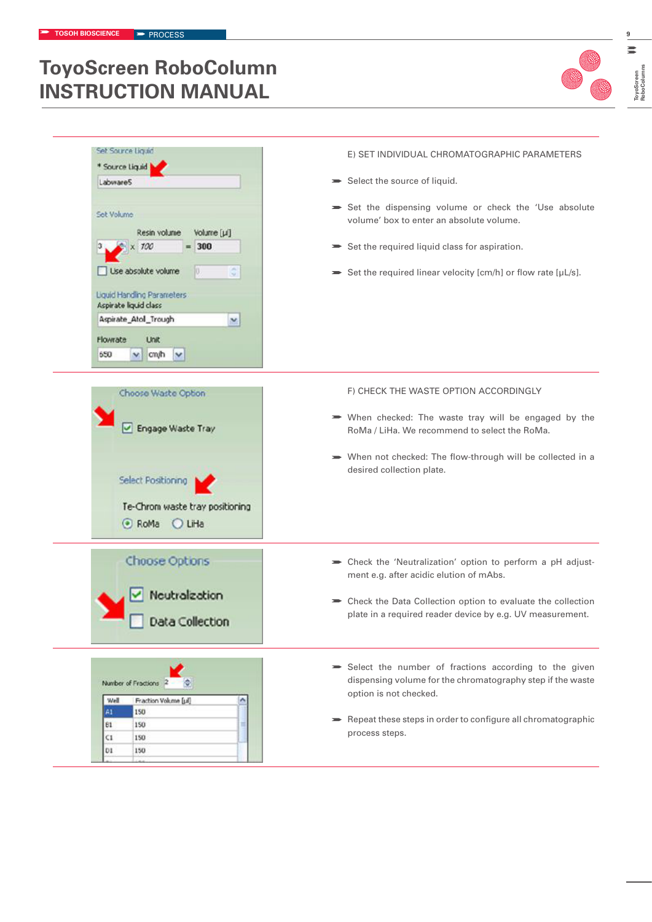

**RoboColumns**

| Set Source Liquid<br>* Source Liquid<br>Labware5<br>Set Volume<br>Resin volume<br>Volume [µ]<br>$= 300$<br>100<br>Use absolute volume<br>Liquid Handling Parameters<br>Aspirate liquid class<br>Aspirate_Atol_Trough<br>×<br>Flowrate<br><b>Unit</b><br>650<br>cm/h<br>vI<br>× | E) SET INDIVIDUAL CHROMATOGRAPHIC PARAMETERS<br>Select the source of liquid.<br>Set the dispensing volume or check the 'Use absolute<br>volume' box to enter an absolute volume.<br>Set the required liquid class for aspiration.<br>Set the required linear velocity [cm/h] or flow rate [µL/s]. |
|--------------------------------------------------------------------------------------------------------------------------------------------------------------------------------------------------------------------------------------------------------------------------------|---------------------------------------------------------------------------------------------------------------------------------------------------------------------------------------------------------------------------------------------------------------------------------------------------|
| Choose Waste Option<br>Engage Waste Tray<br>Select Positioning<br>Te-Chrom waste tray positioning<br>C RoMa<br>O LiHa                                                                                                                                                          | F) CHECK THE WASTE OPTION ACCORDINGLY<br>When checked: The waste tray will be engaged by the<br>RoMa / LiHa. We recommend to select the RoMa.<br>> When not checked: The flow-through will be collected in a<br>desired collection plate.                                                         |
| Choose Options<br>Neutralization<br>Data Collection                                                                                                                                                                                                                            | Some Check the 'Neutralization' option to perform a pH adjust-<br>ment e.g. after acidic elution of mAbs.<br>> Check the Data Collection option to evaluate the collection<br>plate in a required reader device by e.g. UV measurement.                                                           |
| Number of Fractions 2<br>Well<br>Fraction Volume [µ]<br>A1<br>150<br>81<br>150<br>C1<br>150<br>DI.<br>150                                                                                                                                                                      | Select the number of fractions according to the given<br>dispensing volume for the chromatography step if the waste<br>option is not checked.<br>Repeat these steps in order to configure all chromatographic<br>process steps.                                                                   |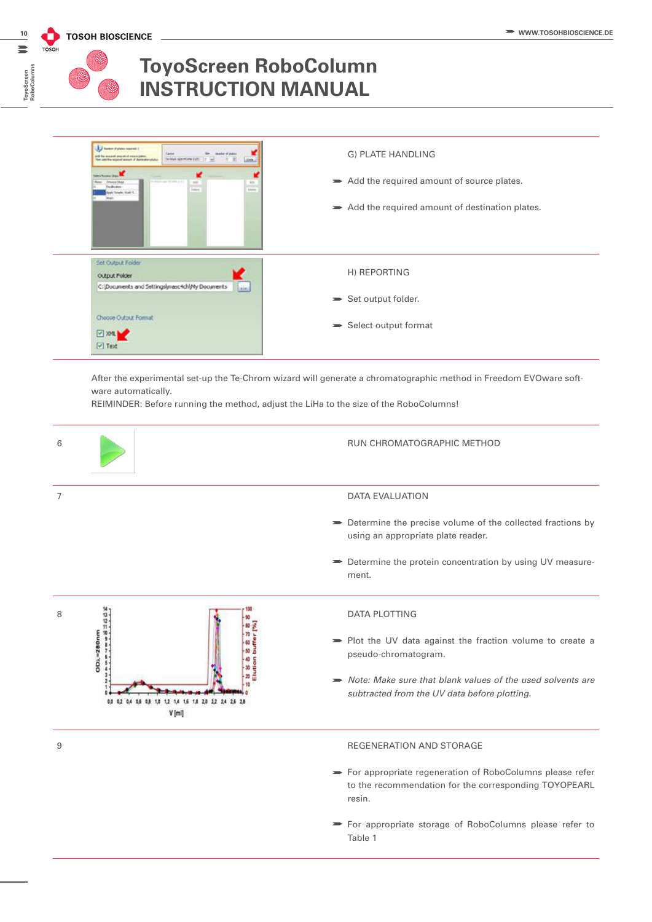**ToyoScreen RoboColumns**

### **ToyoScreen RoboColumn INSTRUCTION MANUAL**



After the experimental set-up the Te-Chrom wizard will generate a chromatographic method in Freedom EVOware software automatically.

REIMINDER: Before running the method, adjust the LiHa to the size of the RoboColumns!



For appropriate storage of RoboColumns please refer to Table 1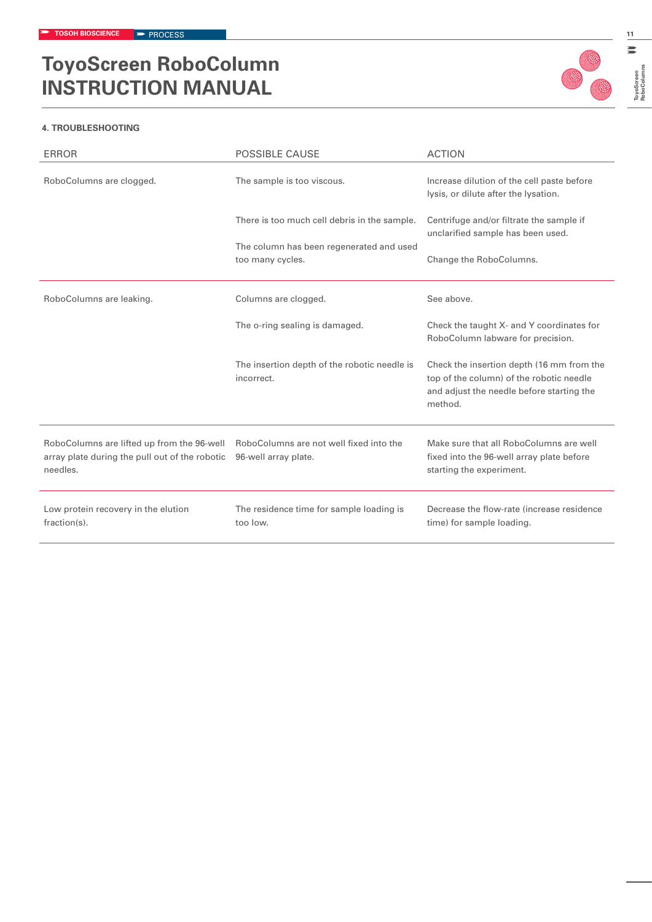

**ToyoScreen RoboColumns**

ToyoScreen<br>RoboColumns

#### **4. TROUBLESHOOTING**

| <b>ERROR</b>                                                                                             | <b>POSSIBLE CAUSE</b>                                           | <b>ACTION</b>                                                                                                                                 |
|----------------------------------------------------------------------------------------------------------|-----------------------------------------------------------------|-----------------------------------------------------------------------------------------------------------------------------------------------|
| RoboColumns are clogged.                                                                                 | The sample is too viscous.                                      | Increase dilution of the cell paste before<br>lysis, or dilute after the lysation.                                                            |
|                                                                                                          | There is too much cell debris in the sample.                    | Centrifuge and/or filtrate the sample if<br>unclarified sample has been used.                                                                 |
|                                                                                                          | The column has been regenerated and used<br>too many cycles.    | Change the RoboColumns.                                                                                                                       |
| RoboColumns are leaking.                                                                                 | Columns are clogged.                                            | See above.                                                                                                                                    |
|                                                                                                          | The o-ring sealing is damaged.                                  | Check the taught X- and Y coordinates for<br>RoboColumn labware for precision.                                                                |
|                                                                                                          | The insertion depth of the robotic needle is<br>incorrect.      | Check the insertion depth (16 mm from the<br>top of the column) of the robotic needle<br>and adjust the needle before starting the<br>method. |
| RoboColumns are lifted up from the 96-well<br>array plate during the pull out of the robotic<br>needles. | RoboColumns are not well fixed into the<br>96-well array plate. | Make sure that all RoboColumns are well<br>fixed into the 96-well array plate before<br>starting the experiment.                              |
| Low protein recovery in the elution<br>fraction(s).                                                      | The residence time for sample loading is<br>too low.            | Decrease the flow-rate (increase residence<br>time) for sample loading.                                                                       |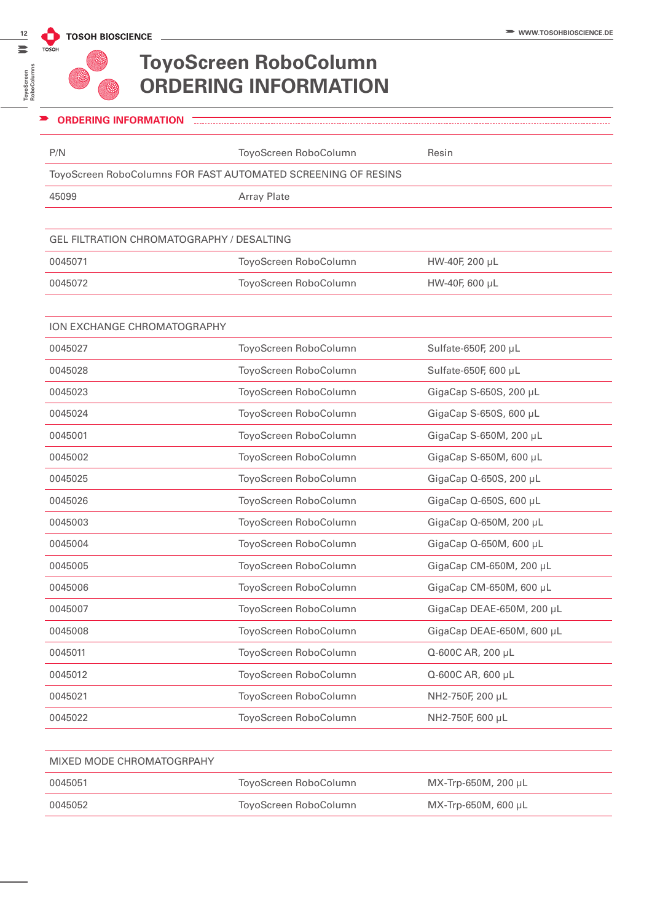**ToyoScreen RoboColumns**

ToyoScreen<br>RoboColumn:

 $\equiv$ 

## **ToyoScreen RoboColumn ORDERING INFORMATION**

| <b>ORDERING INFORMATION</b>                                   |                       |                           |
|---------------------------------------------------------------|-----------------------|---------------------------|
| P/N                                                           | ToyoScreen RoboColumn | Resin                     |
| ToyoScreen RoboColumns FOR FAST AUTOMATED SCREENING OF RESINS |                       |                           |
| 45099                                                         | <b>Array Plate</b>    |                           |
|                                                               |                       |                           |
| <b>GEL FILTRATION CHROMATOGRAPHY / DESALTING</b>              |                       |                           |
| 0045071                                                       | ToyoScreen RoboColumn | HW-40F, 200 µL            |
| 0045072                                                       | ToyoScreen RoboColumn | HW-40F, 600 µL            |
|                                                               |                       |                           |
| <b>ION EXCHANGE CHROMATOGRAPHY</b>                            |                       |                           |
| 0045027                                                       | ToyoScreen RoboColumn | Sulfate-650F, 200 µL      |
| 0045028                                                       | ToyoScreen RoboColumn | Sulfate-650F, 600 µL      |
| 0045023                                                       | ToyoScreen RoboColumn | GigaCap S-650S, 200 µL    |
| 0045024                                                       | ToyoScreen RoboColumn | GigaCap S-650S, 600 µL    |
| 0045001                                                       | ToyoScreen RoboColumn | GigaCap S-650M, 200 µL    |
| 0045002                                                       | ToyoScreen RoboColumn | GigaCap S-650M, 600 µL    |
| 0045025                                                       | ToyoScreen RoboColumn | GigaCap Q-650S, 200 µL    |
| 0045026                                                       | ToyoScreen RoboColumn | GigaCap Q-650S, 600 µL    |
| 0045003                                                       | ToyoScreen RoboColumn | GigaCap Q-650M, 200 µL    |
| 0045004                                                       | ToyoScreen RoboColumn | GigaCap Q-650M, 600 µL    |
| 0045005                                                       | ToyoScreen RoboColumn | GigaCap CM-650M, 200 µL   |
| 0045006                                                       | ToyoScreen RoboColumn | GigaCap CM-650M, 600 µL   |
| 0045007                                                       | ToyoScreen RoboColumn | GigaCap DEAE-650M, 200 µL |
| 0045008                                                       | ToyoScreen RoboColumn | GigaCap DEAE-650M, 600 µL |
| 0045011                                                       | ToyoScreen RoboColumn | Q-600C AR, 200 µL         |
| 0045012                                                       | ToyoScreen RoboColumn | Q-600C AR, 600 µL         |
| 0045021                                                       | ToyoScreen RoboColumn | NH2-750F, 200 µL          |
| 0045022                                                       | ToyoScreen RoboColumn | NH2-750F, 600 µL          |
|                                                               |                       |                           |

| MIXED MODE CHROMATOGRPAHY |                       |                             |  |
|---------------------------|-----------------------|-----------------------------|--|
| 0045051                   | ToyoScreen RoboColumn | $MX$ -Trp-650M, 200 $\mu$ L |  |
| 0045052                   | ToyoScreen RoboColumn | $MX$ -Trp-650M, 600 $\mu$ L |  |